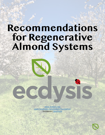# **Recommendations for Regenerative Almond Systems**

[www.ecdysis.bio](https://www.ecdysis.bio) [www.facebook.com/ecdysisfoundation](https://www.facebook.com/ecdysisfoundation) Instagram: [@ecdysis](https://www.instagram.com/ecdysis/)



ंर

SI S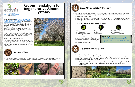## **Recommendations for Regenerative Almond Systems**

In our recent paper, [Defining and validating](https://f1000research.com/articles/10-115)  [regenerative farm systems using a composite of](https://f1000research.com/articles/10-115)  [ranked agricultural practices](https://f1000research.com/articles/10-115), farms employing more regenerative practices had improved farm metrics like soil health, water infiltration, biodiversity, and profit 1. Based on this, we distinguish regenerative farms as those that use 5 or more regenerative practices in their operation (Score of 5 or more in the survey at the end of the document).

Here, we outline six recommendations to assist you in transitioning your farm to a regenerative operation. Please note that the different practices work in concert to create a whole greater than the sum of the parts.

Spread throughout the entire block (within and between rows). Spread before planting the cover crop in the Fall (this will help retain moisture and increase the chance of the cover

It is recommended that 5 tons/acre of compost be spread in the Fall as a starting point (any subsequent applications through spring will also be useful)<sup>3</sup>. 1 ton is equivalent to  $\sim$ 2.5



The following recommendations are laid out in accordance with the timeline of implementation, beginning in October and extending through July when you will start to prep the orchard floor for harvest.





### *Eliminate Tillage*

• Eliminating tillage or greatly reducing tillage will reduce erosion and long-term compaction, while rebuilding soil structure and the soil microbial and invertebrate communities.







### *Spread Compost (Early October)*

- crops getting established) 2.
- cubic yards 3.
	- » *5 tons of composted manure will contribute 2:*



### *Implement Ground Cover*

• **A number of resident vegetation species** (species typically considered weeds) provide many benefits to the orchard <sup>2</sup>. Consider leaving some rows unplanted with cover crops to

- • Consider allowing resident vegetation to grow.
- encourage greater diversity in your farm 2.
	- beneficials.



- 125 lbs/acre
- Consider applying 1-2 tons/acre of compost when doing the last mow of the cover crop , so that the microbes in the compost can speed the decomposition of the cover crop residue.



» Further, **if irrigating your cover crop is not an option, simply allowing the resident vegetation can provide a host of benefits**, from erosion control to habitat for





**Nitrogen** 165-200 lbs/acre \*A slow-release form that is not readily leachable

**Potash (Potassium)** 250-290 lbs/acre \*Immediately available

**Phosphate (Phosphorus)** \*Immediately available



| <b>Useful Links:</b><br>How to add compost to your farm guide 3      |
|----------------------------------------------------------------------|
| Summary of the benefits of compost to your<br>operation <sup>4</sup> |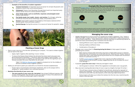» **Examples of the benefits of resident vegetation** *<sup>2</sup>*



*Common knotweed*: An important source of nectar for at least 29 parasitic and predatory insects that control almond pests 2.

*Pea family weeds, burr medic, clovers, and vetches*: Fix nitrogen, while the extrafloral resources attract lacewings, wasps, and predatory ants <sup>2</sup>.

*Chickweed*: Flowers from December through March and is an important earlyseason nectar source for various parasitic wasps 2.

*Aster family weeds, such as sowthistle, mayweed, and pineapple weed*: Harbors lady beetles 2.

*Grasses*: Grass pollen supports the predatory mite *Euseius tularensis* which attacks spider mites and scale crawlers 2.

**Spotted Spurge**: During the summer it is a source of nectar for parasitic wasps  $^{2}$ .



#### **Planting a Cover Crop**

- Plant a cover crop mix in the fall after spreading your compost. \*\*It is best to initiate irrigation *and not wait for the rains!* 
	- » Apply a light irrigation after planting (~2 acre -inches) .
	- » To ensure the flowers bloom before the almonds the mixes need to be sown and germinated before November 1. Therefore, plant and irrigate in early October. \*\**If*  you do not have access to irrigation you will need to wait until the first significant rain is *forecast and plant the cover crop before the rain event.*
		- · Table 11 of *[BIOS for Almonds guide](https://www.caff.org/biologically-integrated-orchard-systems-bios-for-almonds-guide/)* suggests a dryland mix for the middles of almond orchards on drip irrigation systems 2.
- • Ideally you will want to plant your seed with a no-till drill for the best establishment.
	- » Project Apis m recommends a Schmeiser implement. This no till compact drill is designed to "tackle stubborn non-cultivation ground" 5.
- • **Maximize the diversity of your cover crop**
	- » *The more species in your cover mix, the better!* Use at least **7** different species, with at least 15 being ideal. This will help to cover your bases if a few of the selections do not work out, while providing larger swath of benefits.

» Further [recent research](http://cetehama.ucanr.edu/newsletters/Fruit_-_Nut_Newsletters76786.pdf) suggest that cover crops do not affect ambient air temperatures in the orchard's canopy, suggesting they do not increase the risk of

#### **Managing the cover crop**

• *Middles Management* to ensure mixture of seeded and resident vegetation. This, "leads to differing heights, stages of maturity, and plant species composition in adjoining sections of the orchard understory . These differences could be important to maintaining habitat for

#### • Manage cover crop so that it is **flowering during the bloom** to help support the bee's

» Bees require a diverse diet and if they only have a single pollen source (i.e almond blossoms) they will develop nutritional deficiencies, reducing their fitness. Research shows that cover crops flowering during the bloom do not compete with the almond

- beneficial insect and dictating their movement into the trees <sup>2</sup>."
	- » Sowing different cover crops in different middles
	- » Mowing middles at different times
	- » Combination of the above 2
- pollinating the orchard.
	- blooms for pollinator activity 13, 6.
	- frost damage 14, 6.
- If possible, **graze the cover crop** in February and again in April.
	-
- -
	- mulch in the tree rows.







» Ask the grazer to remove ~40% of the vegetation to stimulate cover crop growth.

• May-July start mowing alternate strips of cover crops to a height of at least 10 inches 2.

» This will leave remnant strips of habitat for beneficials, allowing the regrowth of plants and reseeding. The mulch will provide some weed suppression and food for earthworms and other key decomposers, while reducing evapotranspiration.

» Some mowers will allow you to blow the residue into the tree rows, maximizing the



#### **Example Mix Recommendations**

Combine the [Project Apis m](https://www.projectapism.org). (more information listed under additional resources at the end of this section) Wildflower Mix with their Clover Mix and Soil Builder Mix. For every ten rows plant the following cover crop mixes. Feel free to adjust this example. Also, you can check out their website and talk to Billy Synk about different variations.



This combination will provide an early source of pollen for pollinators, a late source of nectar/ habitat for beneficials, prevent soil erosion, suppress weeds, and fix nitrogen. Further the CA natives in the wildflower mix are well adapted to CA's unique climate.

[Soil Builder Mix](https://www.projectapism.org/pam-soil-builder-mix.html) 60-75 lbs/acre drilling 6 rows

[Clover Mix](https://www.projectapism.org/pam-clover-mix.html) 10 lbs/acre drilling 3 rows

[Wildflower Mix](https://www.projectapism.org/pam-wildflower-mix.html) 10 lbs/acre drilling 1 row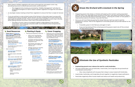- Warm season resident vegetation will come up through the cool season cover crop, providing resources for beneficials and erosion control benefits 2.
	- » The staggered strip mowing as promoted by "Middles Management" will allow for the gradual emergence of warm-season resident vegetation through the cool season stubble <sup>2</sup>.
- In July begin closely mowing orchard floor vegetation to ensure the floor is ready for harvest 2.
- If you are putting in a new orchard, some of the farmers in the study report success with installing micro spray sprinklers. Some farmers are also installing micro spray and buried drip to get the benefits of both. These can be used to help establish a cover crop in the fall, while helping maintain the winter cover crop if the winter/spring is dry.
	- » The effect of cover crops on increased irrigation usage appears to be minimalnonexistent, since bare soil consumes water via increased surface temperatures, evaporation, and runoff 15, 6.

#### **Seed Resources**

- **Project Apis m.'s Seeds for [Bees Program](https://u1584542.ct.sendgrid.net/ss/c/atcYNHk4Eh2YdGnwBh-YDOQqv-SeViaj0pyZQWO20zU3kLjEP3rZHR6TAJg7Za5rXH8QwCmRKOPsuHM_JzLF6demB9gOugnUsm_hufyDMJCOfA2BetU5C873X6-aodmnq6A4QLh9A-WlFT5eL9U1HGVS2DKGn_rhuWzR4re6epy5Uc9zXSHesGfdhFYhC_jhgZQbjt-XOHBwD_DPjbIGwxEDKPFghg9tm0dLEl2sMLoPmjwGuvbNI3Wg2-ENOGhFwpVm3WTusd-TfPCTjb_uBCHfJQVnX2vieLdgBotuhZtpVawxpIsP5uyqYb7tPj54P1sNff-JxS4lTkoB8KSbCSzYUmzwHBFuhCV2rv08LN4bJ9v-tmvqNTrMDJ-ZBkMeQnVE_SMHzIxzgDri1bBztg/360/zRJdCi-CRQqfVyvwV3go7w/h13/6-Bts8enhVA2wTRxzf8g4Dxa9zxiUERZsDUYRa0GMK0). Apply for free cover crop seed** to try out the practice in your orchard. See their guidelines and enrollment information [here](https://u1584542.ct.sendgrid.net/ss/c/P8Elou2Rvc0qoMPEUZrMXcOpy_XqN4R2ZGjoK-5zZnnYnpkaStNX9Wr02v9MR3-8LsLfr9vzNuT1-V_qSSvyQuRXcPf_etDh8rGanAWByNzUv6MLFPGPeRLZwcRB3ewGCXa_sgD5n4118DX4NUC4nhfE4bJ4H_YTiNTw5ceyK_DA7JQOhdmntHlPwM37fFfe6HraemSPk2Ju4z9N5T5Ti7d6vSPGuSTXUJ-u1MGLMt3-PjsgSUAw9DvApAvpy1dlIz2VzLf2KSqQ60fDih1XSQcaB3Oq-u5FCgbBP4_nJYpDzGHzorwYy0xDP5yMGv2kIpVKZNks8iBth5suTNuEcroYhiKfSBnbPrcRhlomU51M34olX6-Qozja54CBTU6dFkDPwJL-nGIz7pbu5h3_K7pSQW7g63Kji2F-9-IEoNXn36Cl8B0r4YursT9Po_zsxv_R7YQX1HliFFqzz6rtAw/360/zRJdCi-CRQqfVyvwV3go7w/h14/HD8FO1kP-mfpJkSMs9nJTPxK_Gu0F8s_0Ch90mKcr-M).
- » Billy Synk Director of Pollination Programs Office: (916)216-2227 <u>billy@</u> [projectapism.org](mailto:billy@projectapism.org)
- » Try and get your seed order in before August 1<sup>st</sup>!
- Seed companies
- » [Kamprath Seed](https://www.kamprathseed.com/) (wholesale): 800-466-9959
- » Ag Seeds (retail): (530) 666- 3361
- » TS&L (retail): (530) 666-1239
- » [Green Cover Seed](https://greencover.com/) (wholesale and retail): (402) 469-6784
	- They also have a cover [crop mix calculator](https://smartmix.greencoverseed.com/) that is useful
- » [Great Valley Seed:](https://www.habitat.farm/) (209)737- 4454, Doug@Bfarm.com
	- · Native seeds specifically suited for the Central Valley.
	- Seeds and drilling services.
- Planting and equipment resources » Miller Cover Crop Planting, Modesto, CA. (209) 526-2111
	- (equipment and planting) » Joe Muller and Sons Farming, Woodland, CA. (530) 662-0105
	- » Paul Strojan, Farmington, CA. (209) 573-1656, strojanp@ velociter.net

» **The Almond Board** has a **[Cover Cropping Guide](https://www.almonds.com/almond-industry/orchard-management/cover-crops-and-forage)** that was just published <sup>6</sup>!

Summary of the benefits of [cover crops to your operation](https://www.caff.org/ecologicalfarming/cover-crops/?link_id=12&can_id=182a35ca7db60e7bbd8d1acbac94180f&source=email-orchard-cover-crop-resources-and-support-network-october-updates&email_referrer=email_958071&email_subject=regenerative-orchards-webinar-follow-up-and-resources-for-growers)

Check with your local RCD office for equipment rental services. <sup>8</sup>

perennial crops<sup>7</sup>.

### **Planting & Equip**

Integrating grazers like sheep or chickens will speed up the nutrient cycling associated with the cover crop, help keep those nutrients on the farm, and reduce the need for inputs. Grazers can also provide effective biomass control - reducing the number of mow passes. It

Since you will most likely be grazing the sheep February-April you want to ask the shepherds to remove ~40% of the vegetative to stimulate growth and provide habitat for the

(equipment only)

- **Emphasizing ground cover reduces the need for costly herbicides.**
- invertebrate communities 12.
	-
- 
- 

» Also, many shepherds will not graze their sheep in areas treated with herbicides. Insecticides, herbicides, and fungicides all work together to negatively impact pollinators. • Pesticides negatively affect human health and reduce soil health and productivity.





- » Kellogg's Ag Service, Paradise, CA. (530) 624-3045, [www.](http://www.kelloggsagservice.com) [kelloggsagservice.com](http://www.kelloggsagservice.com)
	- California Ag Solutions, Madera, CA. [https://www.](https://www.calagsolutions.com/) [calagsolutions.com/](https://www.calagsolutions.com/)
	- Silas Rossow. 209-617-7701, [silas@](mailto:silas@calagsolutions.com) [calagsolutions.com](mailto:silas@calagsolutions.com)
	- Equipment, planting, and advising

**Cover Cropping** 

• Going over one or all these guides will be helpful in determining the mixes you want, what you want to accomplish, and the various pros/

cons of different mixes.

» **The CAFF** *[BIOS for Almonds](https://www.caff.org/biologically-integrated-orchard-systems-bios-for-almonds-guide/)  [guide](https://www.caff.org/biologically-integrated-orchard-systems-bios-for-almonds-guide/)* has tables outlining ideal cover crop mixes for the middles, the tree rows, micro sprinkler irrigation systems, and buried drip systems. It also outlines, ideal planting times, mowing schedules, etc. to optimize ground cover management in your orchard

2.

» **CAFF has a shorter [cover](https://actionnetwork.org/user_files/user_files/000/049/274/original/CAFF_Cover_Crop_Guide_for_Perennial_Systems.pdf)  [cropping decision guide](https://actionnetwork.org/user_files/user_files/000/049/274/original/CAFF_Cover_Crop_Guide_for_Perennial_Systems.pdf)** for

• Check out the [NRCS EQIP](https://u1584542.ct.sendgrid.net/ss/c/atcYNHk4Eh2YdGnwBh-YDCox95SeGk_xfax-F3czvb4LhznrUFf64g-GkOJJhs42Dd4UCjzyLnrdz3e0iMMkHqdMUYsppy0h1pGg-nMfA2oLcojjkjR_4Dub84EVJWMjB9MMtkqdfNPelOxxCXC6f83FXF9ESD0ZMuhDZ8KlCUGNC_4ivpJOq7pl9Allog2_8gMIU7bn4AkcJLYqWLSnTR6rxjAP23FZLDbNJI5A_DccaWNVv39-rzkfAhRSieiQTZIa3T_68iwK5hZRdz9bGtAab5y_21-XzD347mPW3L1GXlVUSLtgW66dmbueHnHRPY9CG5qaSeynA1EjLhposlaJvpfm2YfHrlqzdPW_c8nCYBncaNyTvFyX8gLqLv1E_NNeMGN6f02GS_Eae6z5kMOSgZgmCPofOfw5vQHwv4BPdthEfksqUFhfRY-Fp3y13DeJV6ehBXRQSw2jMFDU6CEknD306lYLChYtR6Fe_gtnbo8QWQzD8H3omIu_bcqm/360/zRJdCi-CRQqfVyvwV3go7w/h15/ku2V4sJK_3atdsgUcsOL4vogDGVpuiXQhK3EqfkHLl4)  [program](https://u1584542.ct.sendgrid.net/ss/c/atcYNHk4Eh2YdGnwBh-YDCox95SeGk_xfax-F3czvb4LhznrUFf64g-GkOJJhs42Dd4UCjzyLnrdz3e0iMMkHqdMUYsppy0h1pGg-nMfA2oLcojjkjR_4Dub84EVJWMjB9MMtkqdfNPelOxxCXC6f83FXF9ESD0ZMuhDZ8KlCUGNC_4ivpJOq7pl9Allog2_8gMIU7bn4AkcJLYqWLSnTR6rxjAP23FZLDbNJI5A_DccaWNVv39-rzkfAhRSieiQTZIa3T_68iwK5hZRdz9bGtAab5y_21-XzD347mPW3L1GXlVUSLtgW66dmbueHnHRPY9CG5qaSeynA1EjLhposlaJvpfm2YfHrlqzdPW_c8nCYBncaNyTvFyX8gLqLv1E_NNeMGN6f02GS_Eae6z5kMOSgZgmCPofOfw5vQHwv4BPdthEfksqUFhfRY-Fp3y13DeJV6ehBXRQSw2jMFDU6CEknD306lYLChYtR6Fe_gtnbo8QWQzD8H3omIu_bcqm/360/zRJdCi-CRQqfVyvwV3go7w/h15/ku2V4sJK_3atdsgUcsOL4vogDGVpuiXQhK3EqfkHLl4) to learn more about cost-share opportunities for implementing conservation practices like cover crops, hedgerows, drip irrigation, and

compost application.

### *Graze the Orchard with Livestock in the Spring*

- may even be a source of revenue, if you own the flock.
- beneficials.
	- » If possible, graze in mid-February and again in April.
	- 120 days before harvest.







» If you are harvesting off the orchard ground the grazers need to be off the orchard

## *Eliminate the Use of Synthetic Pesticides*

#### **Useful Links:**

- List of Contract Grazers<sup>9</sup>
- Summary of the benefits of integrated [crop livestock systems](https://www.caff.org/ecologicalfarming/integrated-crop-livestock-systems/?link_id=9&can_id=182a35ca7db60e7bbd8d1acbac94180f&source=email-orchard-cover-crop-resources-and-support-network-october-updates&email_referrer=email_958071&email_subject=regenerative-orchards-webinar-follow-up-and-resources-for-growers)<sup>1</sup>
- [Grazing Cover Crops: A How-To-Guide](https://pastureproject.org/publications/grazing-cover-crops-how-to-guide/) 11



The use of pesticides such as herbicides, insecticides, and fungicides disrupt beneficial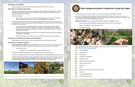#### **Alternatives to herbicides**

- » Mowing, grazers, and potentially burning biomass within the tree rows.
- • **Alternatives to synthetic insecticides**
	- » Having a highly diverse cover crop, combined with "Middles Management" will help promote a diverse community of invertebrates that should do most of the work keeping insect pests in check.
	- » Winter sanitation
		- · Also having cover crops will increase the biological activity on the orchard floor, breaking down the mummy nuts that NOW larvae reside in  $2$ .
	- » A functioning system will not need pest management inputs. But for the transition period, there are some organically minded management options that should interfere less with the transition.
		- · You can consider releasing predatory wasps: *Trichogramma* (align release with first flight of Peach Twig Borer) and *Goniozus* (If high levels of NOW in mummies) in mid-April through July if there is significant concern for Peach twig borer and NOW 2.
		- · OMRI approved Bioinsecticides such as Grandevo and the hormone disruptor CIDETRAK + NOW MESO
		- · Utilize brassicas as a cover crop if you are having issues with nematodes.
- • **Alternatives to synthetic and copper-based fungicides**
	- » OMRI approved sulfur sprays and bio fungicides like BT and compost teas.
- • **Alternatives to synthetic fertilizers**
	- » **Dried Poultry Litter (DPL).** Several regenerative producers that we are working with report the DPL is a key component in ensuring their trees meet their N needs.
		- · 4 tons/acre /year
			- \* Broken in to two separate 2 ton/acre applications.
	- » Foliar and fertigation applications of fungal dominated compost tea.
	- » Can also consider foliar and fertigation applications of other OMRI approved nutrients
	- » Farmers have reported foliar sprays playing an important role in their transitions from conventional to regenerative management systems, reporting that it speeds up the beneficial biology that has been absent under conventional management.





- A long-term goal is to plant native shrubs and trees along the edges of blocks.
- can provide critical pest management services 2.
- **Resource Contact:** [Great Valley Seed](mailto:Great%20Valley%20Seed), (209)737-4454, Doug@Bfarm.com
	-
	- » Seeds, transplants and drilling services.
	- » Contract growing.



### *Plant Hedgerows/Native Vegetation Along the Edges*

• Several of the key beneficial insects in almonds prefer shrubs and trees to cover crop. Therefore, establishing hedgerows of these plant species along the borders of your orchard

» Native seeds and transplants specifically suited for the Central Valley.

Over the coming years work to establish plantings of plants such as (More information in



- Table 16 of *[BIOS for Almonds guide](https://www.caff.org/biologically-integrated-orchard-systems-bios-for-almonds-guide/))*<sup>2</sup>
	- » Blue elderberry
	- » Coyote brush
	- » Quail Bush
	- » California coffeeberry
	- » California lilac
	- » California wild buckwheat
	- » Holly-leaved cherry
	- » Mule fat
	- » Toyon
	- » Native willows (Good for near waterways)
	- » Yarrows
	- » Narrowleaf Milkweed
	- » St. Catherine's Lace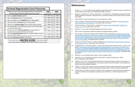|    | *Please answer the following questions specifically<br>for the study field during the previous year*                    |   | -YES-<br>color in circle |         | -NO-<br>color in circle |  |
|----|-------------------------------------------------------------------------------------------------------------------------|---|--------------------------|---------|-------------------------|--|
| 1) | Were any synthetic fertilizers applied?                                                                                 |   | $Value = 0$              |         | $Value = 1$             |  |
| 2) | Were any herbicides (granular or sprayed) applied                                                                       | ◯ | $Value = 0$              |         | $Value = 1$             |  |
| 3) | Were any synthetic or metal fungicides (spray or other) applied?                                                        |   | $Value = 0$              |         | $Value = 1$             |  |
| 4) | Were any synthetic insecticides (spray or other) applied?                                                               | O | $Value = 0$              |         | $Value = 1$             |  |
| 5) | Was there any mechanical tillage of the soll besides planting activity?                                                 | O | $Value = 0$              |         | $Value = 1$             |  |
| 6) | Were cover crops or perennial vegetation grown on this orchard within<br>one year prior to the study?                   | O | $Value = 1$              |         | Value = $0$             |  |
| 7) | Are there any strips of perennial vegetation on orchard borders or<br>throughout (unmanaged road ditches not included)? |   | $Value = 1$              | $\circ$ | $Value = 0$             |  |
| 8) | Were any natural amendments applied (ex: compost, biologics, compost<br>tea, etc.)? If other, list here:                | ◯ | $Value = 1$              |         | $Value = 0$             |  |
| 9) | Was the field grazed by livestock? Livestock type:                                                                      | ◯ | $Value = 1$              | ∩       | $Value = 0$             |  |

### **References.**

1. Fenster, T. L. D. *et al.* Defining and validating regenerative farm systems using a composite of

2. Bugg, R. L., Anderson, G., Eck, R., Hendricks, L. & Lashbrook, C. *Biologically Integrated Orchard Systems (BIOS) for Almonds in Merced County*. *Community Alliance with Family Farmers Founda-*

4. CAFF. Compost - Community Alliance with Family Farmers. Available at: [https://www.caff.](https://www.caff.org/ecologicalfarming/compost/)

8. Cover Crops - Community Alliance with Family Farmers. Available at: [https://www.caff.org/](https://www.caff.org/ecologicalfarming/cover-crops/?link_id=12&can_id=182a35ca7db60e7bbd8d1acbac94180f&source=email-orchard-cover-crop-resources-and-support-network-october-updates&email_referrer=email_958071&email_subject=regenerative-orchards-webinar-fo) [ecologicalfarming/cover-crops/?link\\_id=12&can\\_id=182a35ca7db60e7bbd8d1acbac94180f&](https://www.caff.org/ecologicalfarming/cover-crops/?link_id=12&can_id=182a35ca7db60e7bbd8d1acbac94180f&source=email-orchard-cover-crop-resources-and-support-network-october-updates&email_referrer=email_958071&email_subject=regenerative-orchards-webinar-fo) [source=email-orchard-cover-crop-resources-and-support-network-october-updates&email\\_](https://www.caff.org/ecologicalfarming/cover-crops/?link_id=12&can_id=182a35ca7db60e7bbd8d1acbac94180f&source=email-orchard-cover-crop-resources-and-support-network-october-updates&email_referrer=email_958071&email_subject=regenerative-orchards-webinar-fo) [referrer=email\\_958071&email\\_subject=regenerative-orchards-webinar-follow-up-and-re-](https://www.caff.org/ecologicalfarming/cover-crops/?link_id=12&can_id=182a35ca7db60e7bbd8d1acbac94180f&source=email-orchard-cover-crop-resources-and-support-network-october-updates&email_referrer=email_958071&email_subject=regenerative-orchards-webinar-fo)

5. FAQs for Growers - Project Apis m. Available at: [https://www.projectapism.org/faqs-for-](https://www.projectapism.org/faqs-for-growers.html)

9. Directory of Contract Grazers. (2021). Available at: [https://californiawoolgrowers.org/target-](https://californiawoolgrowers.org/targeted-grazing/directory/)

- ranked agricultural practices. *F1000Research* **10**, 115 (2021).
- *tion* (1994).
- 3. UCCE & NCAT. *How to Add Compost on Your Small Farm*. (2017).
- [org/ecologicalfarming/compost/.](https://www.caff.org/ecologicalfarming/compost/) (Accessed: 20th July 2021)
- [growers.html](https://www.projectapism.org/faqs-for-growers.html). (Accessed: 20th July 2021)
- 6. Wauters, V. *et al. Cover Crop Best Managment Practices*. (2021).
- 7. CAFF. *Cover Crop Decision Guide for Perennial Cropping Systems*. (2020).
- [sources-for-growers.](https://www.caff.org/ecologicalfarming/cover-crops/?link_id=12&can_id=182a35ca7db60e7bbd8d1acbac94180f&source=email-orchard-cover-crop-resources-and-support-network-october-updates&email_referrer=email_958071&email_subject=regenerative-orchards-webinar-fo) (Accessed: 20th July 2021)
- [ed-grazing/directory/.](https://californiawoolgrowers.org/targeted-grazing/directory/) (Accessed: 20th July 2021)
- July 2021)
- 11. Williams, A. *et al. Grazing Cover Crops: A How to Guide*. (2018).
- 12. Darnault, C. *et al.* Pesticides and Soil Invertebrates: A Hazard Assessment. (2021). doi:10.3389/fenvs.2021.643847
- California Annual Research Reports.
- 
- review.

10. Integrated Crop / Livestock Systems - Community Alliance with Family Farmers. (2021). Available at: [https://www.caff.org/ecologicalfarming/integrated-crop-livestock-systems/?link\\_](https://www.caff.org/ecologicalfarming/integrated-crop-livestock-systems/?link_id=9&can_id=182a35ca7db60e7bbd8d1acbac94180f&source=email-orchard-cover-crop-resources-and-support-network-october-updates&email_referrer=email_958071&email_subject=regenerativ) [id=9&can\\_id=182a35ca7db60e7bbd8d1acbac94180f&source=email-orchard-cover-crop-re](https://www.caff.org/ecologicalfarming/integrated-crop-livestock-systems/?link_id=9&can_id=182a35ca7db60e7bbd8d1acbac94180f&source=email-orchard-cover-crop-resources-and-support-network-october-updates&email_referrer=email_958071&email_subject=regenerativ)[sources-and-support-network-october-updates&email\\_referrer=email\\_958071&email\\_sub](https://www.caff.org/ecologicalfarming/integrated-crop-livestock-systems/?link_id=9&can_id=182a35ca7db60e7bbd8d1acbac94180f&source=email-orchard-cover-crop-resources-and-support-network-october-updates&email_referrer=email_958071&email_subject=regenerativ)[ject=regenerative-orchards-webinar-follow-up-and-resources-for-growers](https://www.caff.org/ecologicalfarming/integrated-crop-livestock-systems/?link_id=9&can_id=182a35ca7db60e7bbd8d1acbac94180f&source=email-orchard-cover-crop-resources-and-support-network-october-updates&email_referrer=email_958071&email_subject=regenerativ). (Accessed: 20th

13. Williams, N.M., 2017. Evaluating Alternative Bee Forage Plantings to Support Honey Bees in Almond Orchards–Assessing Bloom Time, Bee Use and Orchard Pollination. Almond Board of

14. Gaudin, A. 2018. Cover Crop Systems for Almond Orchards: Exploring Benefits and Tradeoffs to Inform Management. ABC Annual Research Report (2017-2018) on Project STEWCROP7.

15. DeVincentis et al. (2021). Impacts of winter cover cropping on soil moisture and evapotranspiration in California's specialty crop fields may be minimal. J. California Agriculture. In